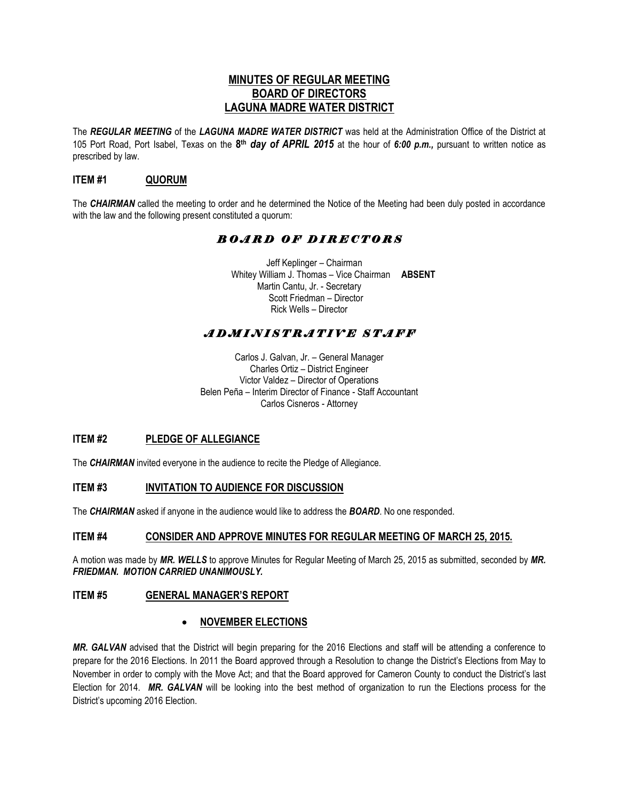## **MINUTES OF REGULAR MEETING BOARD OF DIRECTORS LAGUNA MADRE WATER DISTRICT**

The *REGULAR MEETING* of the *LAGUNA MADRE WATER DISTRICT* was held at the Administration Office of the District at 105 Port Road, Port Isabel, Texas on the **8 th** *day of APRIL 2015* at the hour of *6:00 p.m.,* pursuant to written notice as prescribed by law.

## **ITEM #1 QUORUM**

The *CHAIRMAN* called the meeting to order and he determined the Notice of the Meeting had been duly posted in accordance with the law and the following present constituted a quorum:

# *B O A R D O F D I R E C T O R S*

 Jeff Keplinger – Chairman Whitey William J. Thomas – Vice Chairman **ABSENT** Martin Cantu, Jr. - Secretary Scott Friedman – Director Rick Wells – Director

# *A D M I N I S T R A T I V E S T A F F*

Carlos J. Galvan, Jr. – General Manager Charles Ortiz – District Engineer Victor Valdez – Director of Operations Belen Peña – Interim Director of Finance - Staff Accountant Carlos Cisneros - Attorney

#### **ITEM #2 PLEDGE OF ALLEGIANCE**

The *CHAIRMAN* invited everyone in the audience to recite the Pledge of Allegiance.

#### **ITEM #3 INVITATION TO AUDIENCE FOR DISCUSSION**

The *CHAIRMAN* asked if anyone in the audience would like to address the *BOARD*. No one responded.

#### **ITEM #4 CONSIDER AND APPROVE MINUTES FOR REGULAR MEETING OF MARCH 25, 2015.**

A motion was made by *MR. WELLS* to approve Minutes for Regular Meeting of March 25, 2015 as submitted, seconded by *MR. FRIEDMAN. MOTION CARRIED UNANIMOUSLY.* 

#### **ITEM #5 GENERAL MANAGER'S REPORT**

#### **NOVEMBER ELECTIONS**

*MR. GALVAN* advised that the District will begin preparing for the 2016 Elections and staff will be attending a conference to prepare for the 2016 Elections. In 2011 the Board approved through a Resolution to change the District's Elections from May to November in order to comply with the Move Act; and that the Board approved for Cameron County to conduct the District's last Election for 2014. *MR. GALVAN* will be looking into the best method of organization to run the Elections process for the District's upcoming 2016 Election.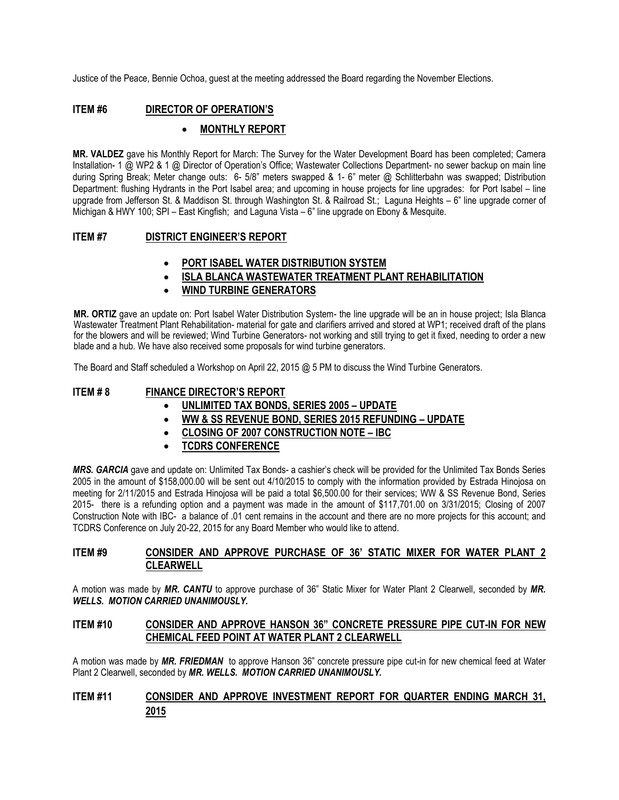Justice of the Peace, Bennie Ochoa, guest at the meeting addressed the Board regarding the November Elections.

## **ITEM #6 DIRECTOR OF OPERATION'S**

## **MONTHLY REPORT**

**MR. VALDEZ** gave his Monthly Report for March: The Survey for the Water Development Board has been completed; Camera Installation- 1 @ WP2 & 1 @ Director of Operation's Office; Wastewater Collections Department- no sewer backup on main line during Spring Break; Meter change outs: 6- 5/8" meters swapped & 1- 6" meter @ Schlitterbahn was swapped; Distribution Department: flushing Hydrants in the Port Isabel area; and upcoming in house projects for line upgrades: for Port Isabel – line upgrade from Jefferson St. & Maddison St. through Washington St. & Railroad St.; Laguna Heights – 6" line upgrade corner of Michigan & HWY 100; SPI – East Kingfish; and Laguna Vista – 6" line upgrade on Ebony & Mesquite.

#### **ITEM #7 DISTRICT ENGINEER'S REPORT**

- **PORT ISABEL WATER DISTRIBUTION SYSTEM**
- **ISLA BLANCA WASTEWATER TREATMENT PLANT REHABILITATION**
- **WIND TURBINE GENERATORS**

**MR. ORTIZ** gave an update on: Port Isabel Water Distribution System- the line upgrade will be an in house project; Isla Blanca Wastewater Treatment Plant Rehabilitation- material for gate and clarifiers arrived and stored at WP1; received draft of the plans for the blowers and will be reviewed; Wind Turbine Generators- not working and still trying to get it fixed, needing to order a new blade and a hub. We have also received some proposals for wind turbine generators.

The Board and Staff scheduled a Workshop on April 22, 2015 @ 5 PM to discuss the Wind Turbine Generators.

## **ITEM # 8 FINANCE DIRECTOR'S REPORT**

- **UNLIMITED TAX BONDS, SERIES 2005 – UPDATE**
- **WW & SS REVENUE BOND, SERIES 2015 REFUNDING – UPDATE**
- **CLOSING OF 2007 CONSTRUCTION NOTE – IBC**
- **TCDRS CONFERENCE**

*MRS. GARCIA* gave and update on: Unlimited Tax Bonds- a cashier's check will be provided for the Unlimited Tax Bonds Series 2005 in the amount of \$158,000.00 will be sent out 4/10/2015 to comply with the information provided by Estrada Hinojosa on meeting for 2/11/2015 and Estrada Hinojosa will be paid a total \$6,500.00 for their services; WW & SS Revenue Bond, Series 2015- there is a refunding option and a payment was made in the amount of \$117,701.00 on 3/31/2015; Closing of 2007 Construction Note with IBC- a balance of .01 cent remains in the account and there are no more projects for this account; and TCDRS Conference on July 20-22, 2015 for any Board Member who would like to attend.

#### **ITEM #9 CONSIDER AND APPROVE PURCHASE OF 36' STATIC MIXER FOR WATER PLANT 2 CLEARWELL**

A motion was made by *MR. CANTU* to approve purchase of 36" Static Mixer for Water Plant 2 Clearwell, seconded by *MR. WELLS. MOTION CARRIED UNANIMOUSLY.* 

#### **ITEM #10 CONSIDER AND APPROVE HANSON 36" CONCRETE PRESSURE PIPE CUT-IN FOR NEW CHEMICAL FEED POINT AT WATER PLANT 2 CLEARWELL**

A motion was made by *MR. FRIEDMAN* to approve Hanson 36" concrete pressure pipe cut-in for new chemical feed at Water Plant 2 Clearwell, seconded by *MR. WELLS. MOTION CARRIED UNANIMOUSLY.* 

# **ITEM #11 CONSIDER AND APPROVE INVESTMENT REPORT FOR QUARTER ENDING MARCH 31, 2015**